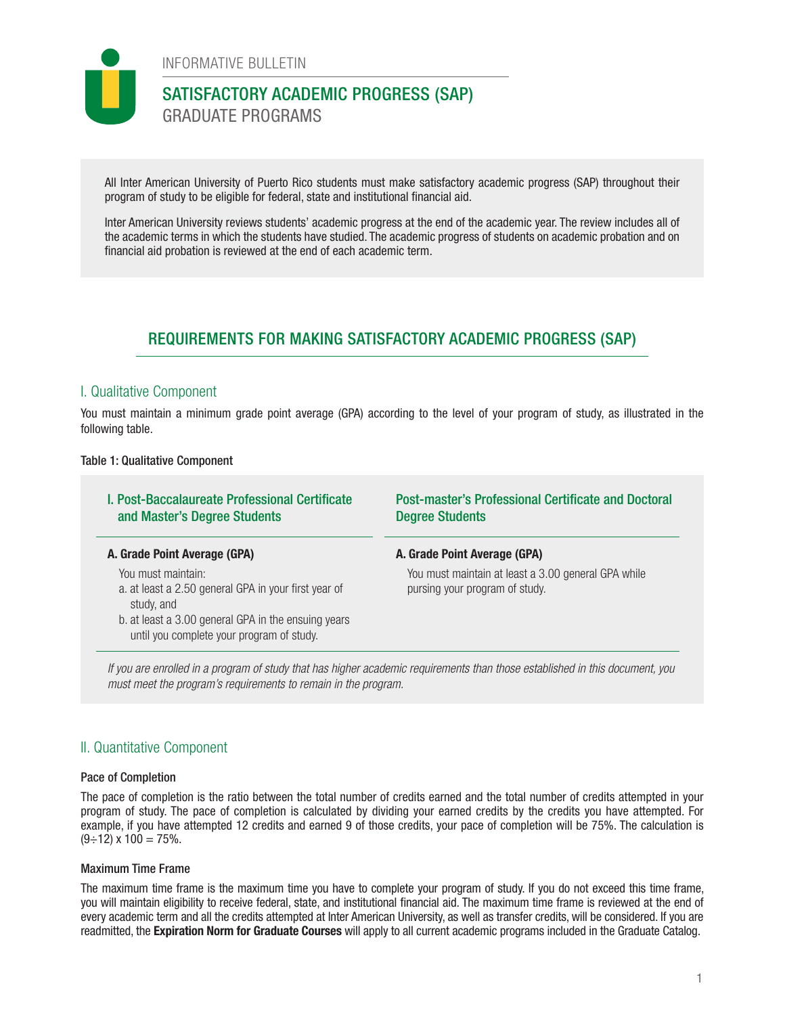

INFORMATIVE BULLETIN

# SATISFACTORY ACADEMIC PROGRESS (SAP) GRADUATE PROGRAMS

All Inter American University of Puerto Rico students must make satisfactory academic progress (SAP) throughout their program of study to be eligible for federal, state and institutional financial aid.

Inter American University reviews students' academic progress at the end of the academic year. The review includes all of the academic terms in which the students have studied. The academic progress of students on academic probation and on financial aid probation is reviewed at the end of each academic term.

# REQUIREMENTS FOR MAKING SATISFACTORY ACADEMIC PROGRESS (SAP)

## I. Qualitative Component

You must maintain a minimum grade point average (GPA) according to the level of your program of study, as illustrated in the following table.

## Table 1: Qualitative Component

| <b>I. Post-Baccalaureate Professional Certificate</b><br>and Master's Degree Students                                                                                                        | <b>Post-master's Professional Certificate and Doctoral</b><br><b>Degree Students</b>  |
|----------------------------------------------------------------------------------------------------------------------------------------------------------------------------------------------|---------------------------------------------------------------------------------------|
| A. Grade Point Average (GPA)                                                                                                                                                                 | A. Grade Point Average (GPA)                                                          |
| You must maintain:<br>a. at least a 2.50 general GPA in your first year of<br>study, and<br>b. at least a 3.00 general GPA in the ensuing years<br>until you complete your program of study. | You must maintain at least a 3.00 general GPA while<br>pursing your program of study. |

*If you are enrolled in a program of study that has higher academic requirements than those established in this document, you must meet the program's requirements to remain in the program.* 

## II. Quantitative Component

## Pace of Completion

The pace of completion is the ratio between the total number of credits earned and the total number of credits attempted in your program of study. The pace of completion is calculated by dividing your earned credits by the credits you have attempted. For example, if you have attempted 12 credits and earned 9 of those credits, your pace of completion will be 75%. The calculation is  $(9 \div 12)$  x  $100 = 75\%$ .

## Maximum Time Frame

The maximum time frame is the maximum time you have to complete your program of study. If you do not exceed this time frame, you will maintain eligibility to receive federal, state, and institutional financial aid. The maximum time frame is reviewed at the end of every academic term and all the credits attempted at Inter American University, as well as transfer credits, will be considered. If you are readmitted, the Expiration Norm for Graduate Courses will apply to all current academic programs included in the Graduate Catalog.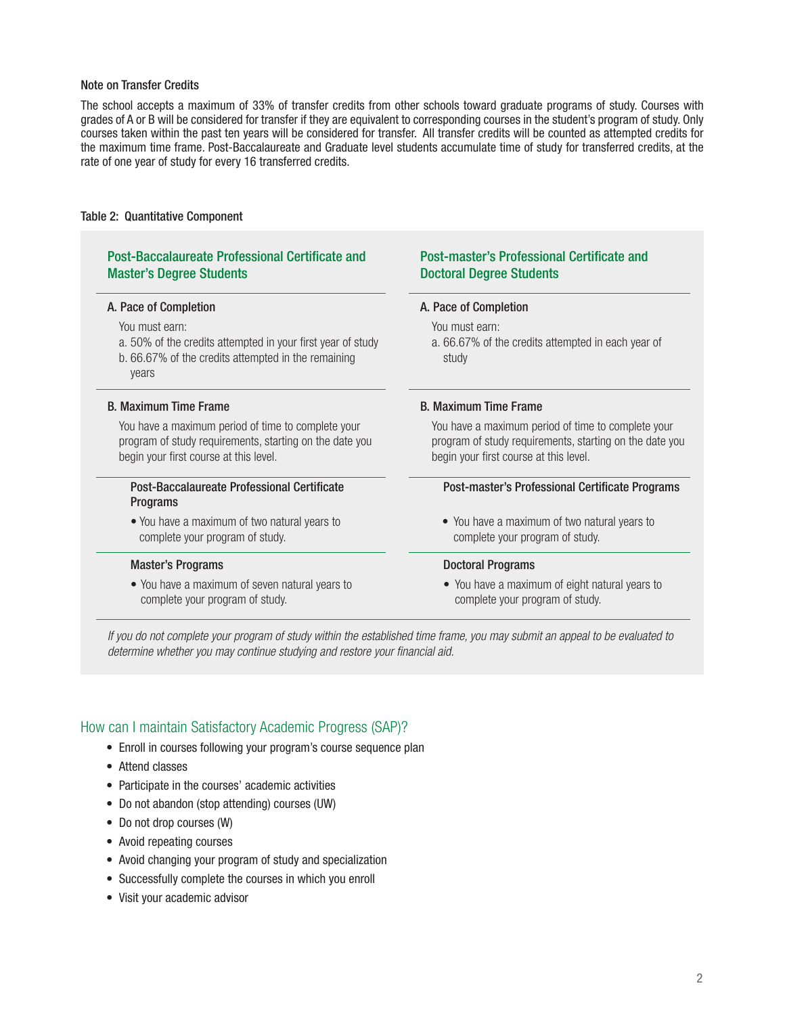### Note on Transfer Credits

The school accepts a maximum of 33% of transfer credits from other schools toward graduate programs of study. Courses with grades of A or B will be considered for transfer if they are equivalent to corresponding courses in the student's program of study. Only courses taken within the past ten years will be considered for transfer. All transfer credits will be counted as attempted credits for the maximum time frame. Post-Baccalaureate and Graduate level students accumulate time of study for transferred credits, at the rate of one year of study for every 16 transferred credits.

### Table 2: Quantitative Component

## Post-Baccalaureate Professional Certificate and Master's Degree Students

You must earn:

- a. 50% of the credits attempted in your first year of study
- b. 66.67% of the credits attempted in the remaining years

You have a maximum period of time to complete your program of study requirements, starting on the date you begin your first course at this level.

#### Post-Baccalaureate Professional Certificate **Programs**

• You have a maximum of two natural years to complete your program of study.

• You have a maximum of seven natural years to complete your program of study.

## Post-master's Professional Certificate and Doctoral Degree Students

#### A. Pace of Completion **A.** Pace of Completion

You must earn:

a. 66.67% of the credits attempted in each year of study

#### B. Maximum Time Frame B. Maximum Time Frame

You have a maximum period of time to complete your program of study requirements, starting on the date you begin your first course at this level.

#### Post-master's Professional Certificate Programs

• You have a maximum of two natural years to complete your program of study.

#### Master's Programs **Master's Programs Doctoral Programs**

• You have a maximum of eight natural years to complete your program of study.

*If you do not complete your program of study within the established time frame, you may submit an appeal to be evaluated to determine whether you may continue studying and restore your financial aid.*

## How can I maintain Satisfactory Academic Progress (SAP)?

- Enroll in courses following your program's course sequence plan
- Attend classes
- Participate in the courses' academic activities
- Do not abandon (stop attending) courses (UW)
- Do not drop courses (W)
- Avoid repeating courses
- Avoid changing your program of study and specialization
- Successfully complete the courses in which you enroll
- Visit your academic advisor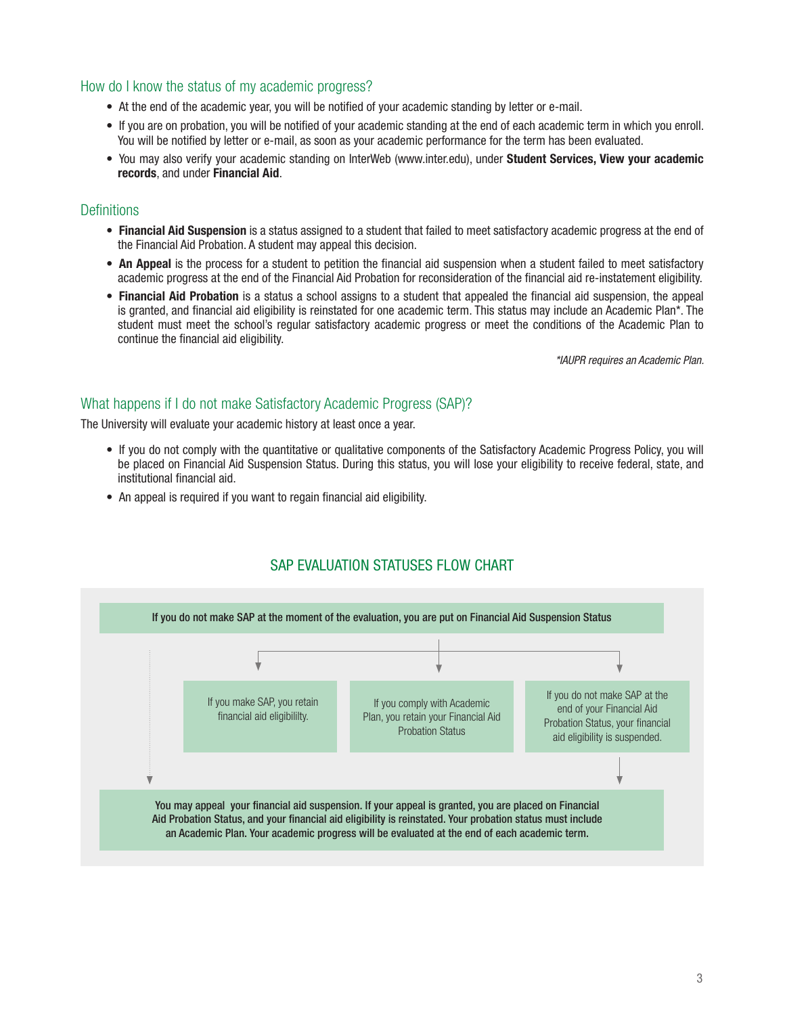## How do I know the status of my academic progress?

- At the end of the academic year, you will be notified of your academic standing by letter or e-mail.
- If you are on probation, you will be notified of your academic standing at the end of each academic term in which you enroll. You will be notified by letter or e-mail, as soon as your academic performance for the term has been evaluated.
- You may also verify your academic standing on InterWeb (www.inter.edu), under Student Services, View your academic records, and under Financial Aid.

## **Definitions**

- Financial Aid Suspension is a status assigned to a student that failed to meet satisfactory academic progress at the end of the Financial Aid Probation. A student may appeal this decision.
- An Appeal is the process for a student to petition the financial aid suspension when a student failed to meet satisfactory academic progress at the end of the Financial Aid Probation for reconsideration of the financial aid re-instatement eligibility.
- Financial Aid Probation is a status a school assigns to a student that appealed the financial aid suspension, the appeal is granted, and financial aid eligibility is reinstated for one academic term. This status may include an Academic Plan\*. The student must meet the school's regular satisfactory academic progress or meet the conditions of the Academic Plan to continue the financial aid eligibility.

*\*IAUPR requires an Academic Plan.* 

## What happens if I do not make Satisfactory Academic Progress (SAP)?

The University will evaluate your academic history at least once a year.

- If you do not comply with the quantitative or qualitative components of the Satisfactory Academic Progress Policy, you will be placed on Financial Aid Suspension Status. During this status, you will lose your eligibility to receive federal, state, and institutional financial aid.
- An appeal is required if you want to regain financial aid eligibility.



# SAP EVALUATION STATUSES FLOW CHART